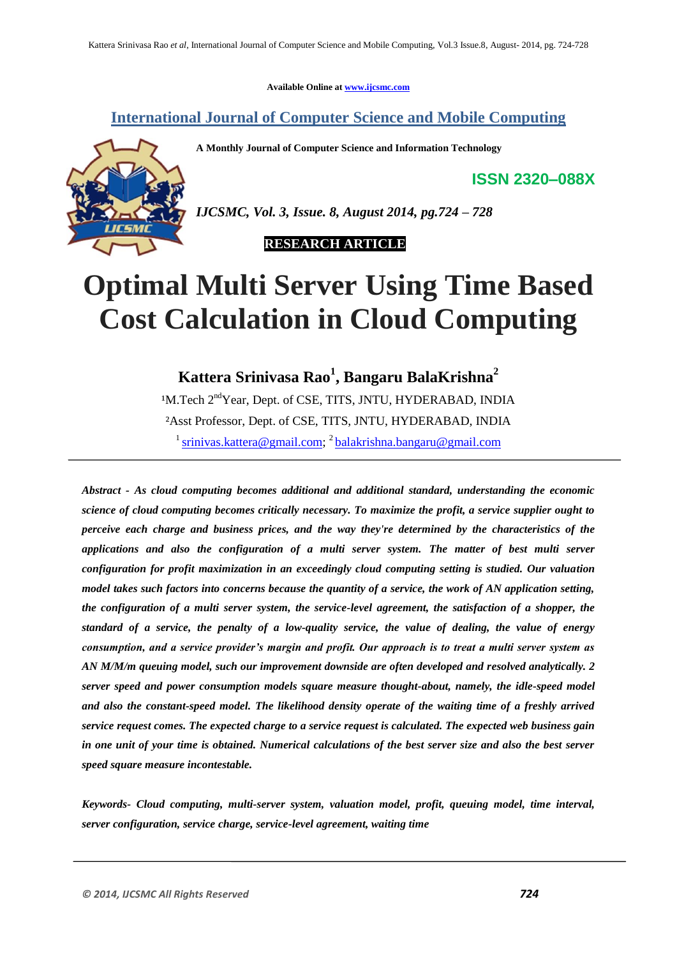**Available Online at www.ijcsmc.com**

# **International Journal of Computer Science and Mobile Computing**

**A Monthly Journal of Computer Science and Information Technology**

**ISSN 2320–088X**



*IJCSMC, Vol. 3, Issue. 8, August 2014, pg.724 – 728*

 **RESEARCH ARTICLE**

# **Optimal Multi Server Using Time Based Cost Calculation in Cloud Computing**

**Kattera Srinivasa Rao<sup>1</sup> , Bangaru BalaKrishna<sup>2</sup>**

<sup>1</sup>M.Tech 2<sup>nd</sup>Year, Dept. of CSE, TITS, JNTU, HYDERABAD, INDIA ²Asst Professor, Dept. of CSE, TITS, JNTU, HYDERABAD, INDIA <sup>1</sup> srinivas.kattera@gmail.com; <sup>2</sup> balakrishna.bangaru@gmail.com

*Abstract - As cloud computing becomes additional and additional standard, understanding the economic science of cloud computing becomes critically necessary. To maximize the profit, a service supplier ought to perceive each charge and business prices, and the way they're determined by the characteristics of the applications and also the configuration of a multi server system. The matter of best multi server configuration for profit maximization in an exceedingly cloud computing setting is studied. Our valuation model takes such factors into concerns because the quantity of a service, the work of AN application setting, the configuration of a multi server system, the service-level agreement, the satisfaction of a shopper, the standard of a service, the penalty of a low-quality service, the value of dealing, the value of energy consumption, and a service provider's margin and profit. Our approach is to treat a multi server system as AN M/M/m queuing model, such our improvement downside are often developed and resolved analytically. 2 server speed and power consumption models square measure thought-about, namely, the idle-speed model and also the constant-speed model. The likelihood density operate of the waiting time of a freshly arrived service request comes. The expected charge to a service request is calculated. The expected web business gain in one unit of your time is obtained. Numerical calculations of the best server size and also the best server speed square measure incontestable.*

*Keywords- Cloud computing, multi-server system, valuation model, profit, queuing model, time interval, server configuration, service charge, service-level agreement, waiting time*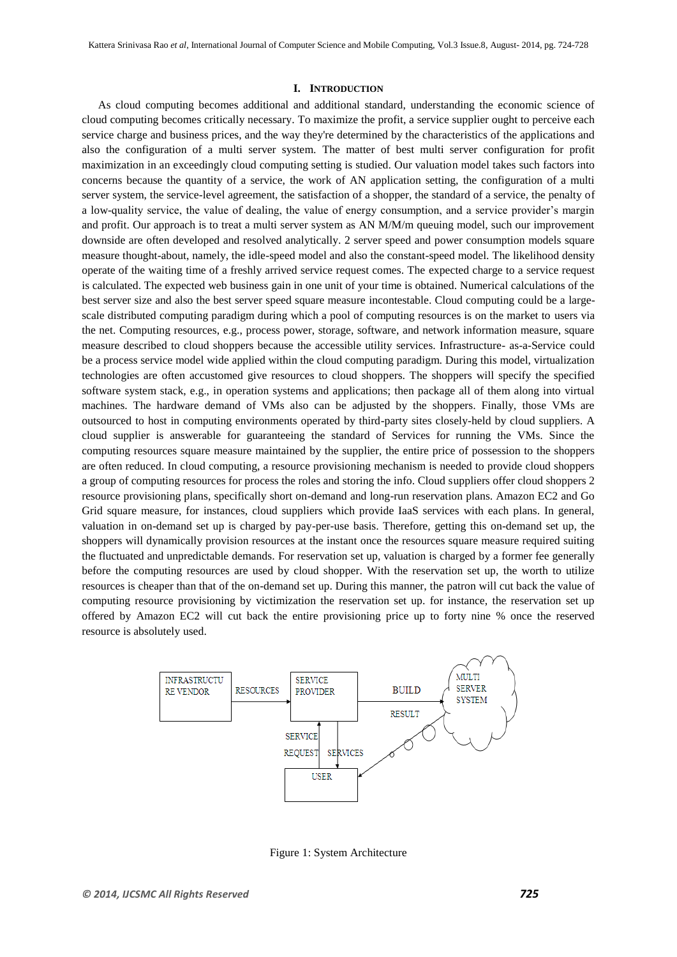#### **I. INTRODUCTION**

As cloud computing becomes additional and additional standard, understanding the economic science of cloud computing becomes critically necessary. To maximize the profit, a service supplier ought to perceive each service charge and business prices, and the way they're determined by the characteristics of the applications and also the configuration of a multi server system. The matter of best multi server configuration for profit maximization in an exceedingly cloud computing setting is studied. Our valuation model takes such factors into concerns because the quantity of a service, the work of AN application setting, the configuration of a multi server system, the service-level agreement, the satisfaction of a shopper, the standard of a service, the penalty of a low-quality service, the value of dealing, the value of energy consumption, and a service provider's margin and profit. Our approach is to treat a multi server system as AN M/M/m queuing model, such our improvement downside are often developed and resolved analytically. 2 server speed and power consumption models square measure thought-about, namely, the idle-speed model and also the constant-speed model. The likelihood density operate of the waiting time of a freshly arrived service request comes. The expected charge to a service request is calculated. The expected web business gain in one unit of your time is obtained. Numerical calculations of the best server size and also the best server speed square measure incontestable. Cloud computing could be a largescale distributed computing paradigm during which a pool of computing resources is on the market to users via the net. Computing resources, e.g., process power, storage, software, and network information measure, square measure described to cloud shoppers because the accessible utility services. Infrastructure- as-a-Service could be a process service model wide applied within the cloud computing paradigm. During this model, virtualization technologies are often accustomed give resources to cloud shoppers. The shoppers will specify the specified software system stack, e.g., in operation systems and applications; then package all of them along into virtual machines. The hardware demand of VMs also can be adjusted by the shoppers. Finally, those VMs are outsourced to host in computing environments operated by third-party sites closely-held by cloud suppliers. A cloud supplier is answerable for guaranteeing the standard of Services for running the VMs. Since the computing resources square measure maintained by the supplier, the entire price of possession to the shoppers are often reduced. In cloud computing, a resource provisioning mechanism is needed to provide cloud shoppers a group of computing resources for process the roles and storing the info. Cloud suppliers offer cloud shoppers 2 resource provisioning plans, specifically short on-demand and long-run reservation plans. Amazon EC2 and Go Grid square measure, for instances, cloud suppliers which provide IaaS services with each plans. In general, valuation in on-demand set up is charged by pay-per-use basis. Therefore, getting this on-demand set up, the shoppers will dynamically provision resources at the instant once the resources square measure required suiting the fluctuated and unpredictable demands. For reservation set up, valuation is charged by a former fee generally before the computing resources are used by cloud shopper. With the reservation set up, the worth to utilize resources is cheaper than that of the on-demand set up. During this manner, the patron will cut back the value of computing resource provisioning by victimization the reservation set up. for instance, the reservation set up offered by Amazon EC2 will cut back the entire provisioning price up to forty nine % once the reserved resource is absolutely used.



Figure 1: System Architecture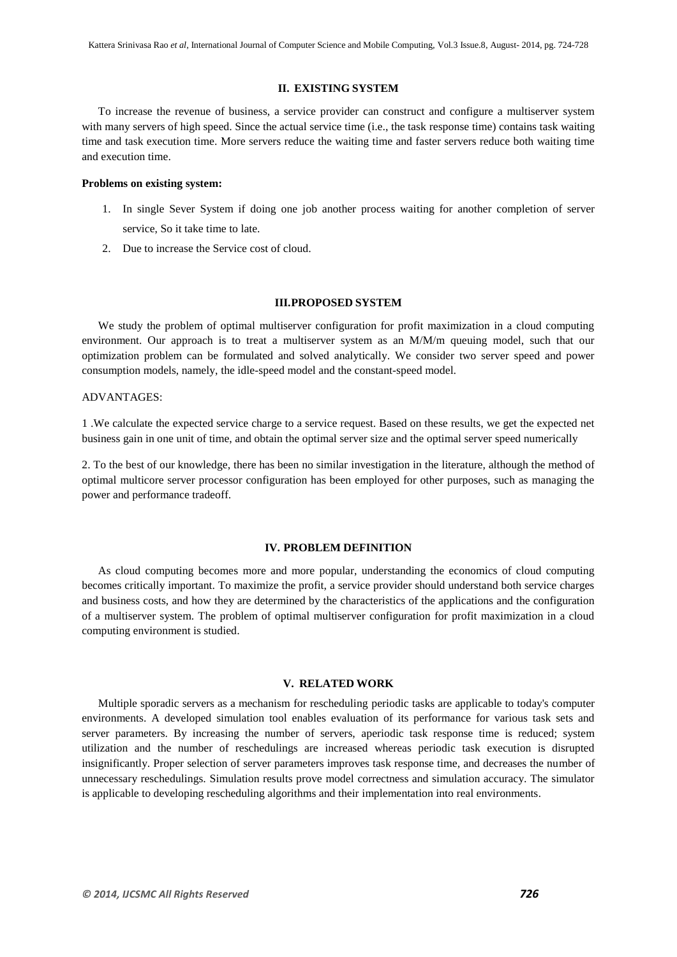# **II. EXISTING SYSTEM**

To increase the revenue of business, a service provider can construct and configure a multiserver system with many servers of high speed. Since the actual service time (i.e., the task response time) contains task waiting time and task execution time. More servers reduce the waiting time and faster servers reduce both waiting time and execution time.

# **Problems on existing system:**

- 1. In single Sever System if doing one job another process waiting for another completion of server service, So it take time to late.
- 2. Due to increase the Service cost of cloud.

#### **III.PROPOSED SYSTEM**

We study the problem of optimal multiserver configuration for profit maximization in a cloud computing environment. Our approach is to treat a multiserver system as an M/M/m queuing model, such that our optimization problem can be formulated and solved analytically. We consider two server speed and power consumption models, namely, the idle-speed model and the constant-speed model.

# ADVANTAGES:

1 .We calculate the expected service charge to a service request. Based on these results, we get the expected net business gain in one unit of time, and obtain the optimal server size and the optimal server speed numerically

2. To the best of our knowledge, there has been no similar investigation in the literature, although the method of optimal multicore server processor configuration has been employed for other purposes, such as managing the power and performance tradeoff.

# **IV. PROBLEM DEFINITION**

As cloud computing becomes more and more popular, understanding the economics of cloud computing becomes critically important. To maximize the profit, a service provider should understand both service charges and business costs, and how they are determined by the characteristics of the applications and the configuration of a multiserver system. The problem of optimal multiserver configuration for profit maximization in a cloud computing environment is studied.

### **V. RELATED WORK**

Multiple sporadic servers as a mechanism for rescheduling periodic tasks are applicable to today's computer environments. A developed simulation tool enables evaluation of its performance for various task sets and server parameters. By increasing the number of servers, aperiodic task response time is reduced; system utilization and the number of reschedulings are increased whereas periodic task execution is disrupted insignificantly. Proper selection of server parameters improves task response time, and decreases the number of unnecessary reschedulings. Simulation results prove model correctness and simulation accuracy. The simulator is applicable to developing rescheduling algorithms and their implementation into real environments*.*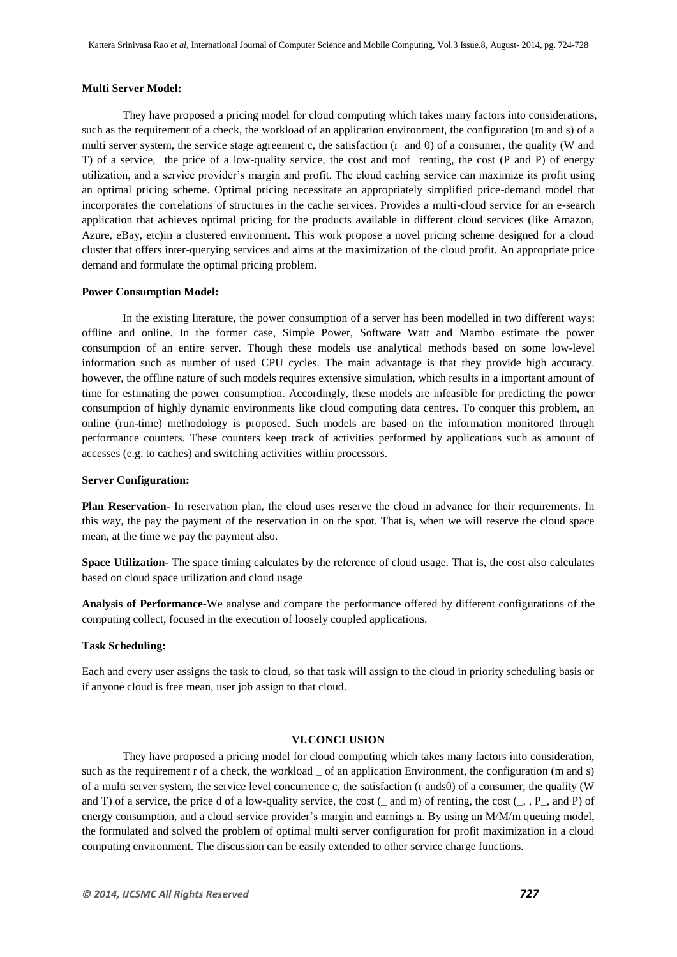#### **Multi Server Model:**

They have proposed a pricing model for cloud computing which takes many factors into considerations, such as the requirement of a check, the workload of an application environment, the configuration (m and s) of a multi server system, the service stage agreement c, the satisfaction (r and 0) of a consumer, the quality (W and T) of a service, the price of a low-quality service, the cost and mof renting, the cost (P and P) of energy utilization, and a service provider's margin and profit. The cloud caching service can maximize its profit using an optimal pricing scheme. Optimal pricing necessitate an appropriately simplified price-demand model that incorporates the correlations of structures in the cache services. Provides a multi-cloud service for an e-search application that achieves optimal pricing for the products available in different cloud services (like Amazon, Azure, eBay, etc)in a clustered environment. This work propose a novel pricing scheme designed for a cloud cluster that offers inter-querying services and aims at the maximization of the cloud profit. An appropriate price demand and formulate the optimal pricing problem.

# **Power Consumption Model:**

In the existing literature, the power consumption of a server has been modelled in two different ways: offline and online. In the former case, Simple Power, Software Watt and Mambo estimate the power consumption of an entire server. Though these models use analytical methods based on some low-level information such as number of used CPU cycles. The main advantage is that they provide high accuracy. however, the offline nature of such models requires extensive simulation, which results in a important amount of time for estimating the power consumption. Accordingly, these models are infeasible for predicting the power consumption of highly dynamic environments like cloud computing data centres. To conquer this problem, an online (run-time) methodology is proposed. Such models are based on the information monitored through performance counters. These counters keep track of activities performed by applications such as amount of accesses (e.g. to caches) and switching activities within processors.

#### **Server Configuration:**

**Plan Reservation-** In reservation plan, the cloud uses reserve the cloud in advance for their requirements. In this way, the pay the payment of the reservation in on the spot. That is, when we will reserve the cloud space mean, at the time we pay the payment also.

**Space Utilization-** The space timing calculates by the reference of cloud usage. That is, the cost also calculates based on cloud space utilization and cloud usage

**Analysis of Performance-**We analyse and compare the performance offered by different configurations of the computing collect, focused in the execution of loosely coupled applications.

#### **Task Scheduling:**

Each and every user assigns the task to cloud, so that task will assign to the cloud in priority scheduling basis or if anyone cloud is free mean, user job assign to that cloud.

# **VI.CONCLUSION**

They have proposed a pricing model for cloud computing which takes many factors into consideration, such as the requirement r of a check, the workload of an application Environment, the configuration (m and s) of a multi server system, the service level concurrence c, the satisfaction (r ands0) of a consumer, the quality (W and T) of a service, the price d of a low-quality service, the cost  $(\_$  and m) of renting, the cost  $(\_$ ,  $P_$ , and P) of energy consumption, and a cloud service provider's margin and earnings a. By using an M/M/m queuing model, the formulated and solved the problem of optimal multi server configuration for profit maximization in a cloud computing environment. The discussion can be easily extended to other service charge functions.